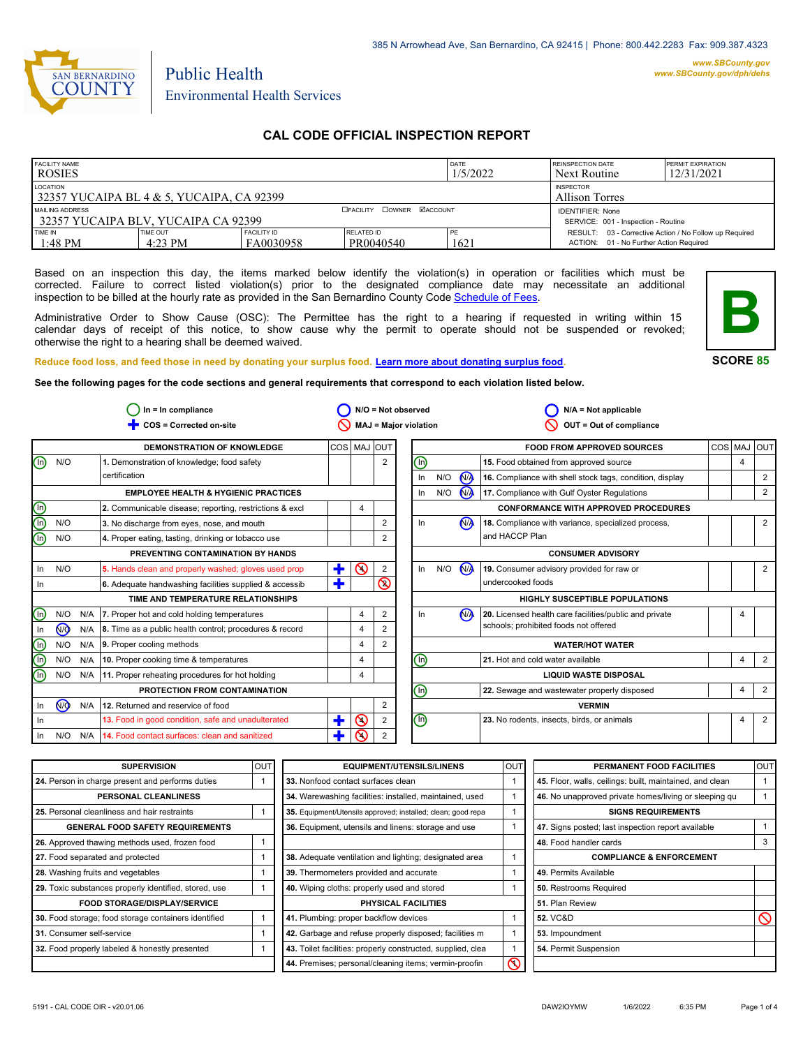

# Environmental Health Services

Public Health

# **CAL CODE OFFICIAL INSPECTION REPORT**

| <b>FACILITY NAME</b><br><b>ROSIES</b>                                                     |                       |                                 |                         | DATE<br>1/5/2022                                               | <b>REINSPECTION DATE</b><br>Next Routine                                                          | <b>PERMIT EXPIRATION</b><br>12/31/2021 |
|-------------------------------------------------------------------------------------------|-----------------------|---------------------------------|-------------------------|----------------------------------------------------------------|---------------------------------------------------------------------------------------------------|----------------------------------------|
| LOCATION<br>32357 YUCAIPA BL 4 $&$ 5, YUCAIPA, CA 92399                                   |                       |                                 |                         |                                                                | <b>INSPECTOR</b><br><b>Allison Torres</b>                                                         |                                        |
| <b>CEACLITY COWNER MACCOUNT</b><br>MAILING ADDRESS<br>32357 YUCAIPA BLV, YUCAIPA CA 92399 |                       |                                 |                         | <b>IDENTIFIER: None</b><br>SERVICE: 001 - Inspection - Routine |                                                                                                   |                                        |
| TIME IN<br>$1:48 \text{ PM}$                                                              | TIME OUT<br>$4:23$ PM | <b>FACILITY ID</b><br>FA0030958 | RELATED ID<br>PR0040540 | 1621                                                           | RESULT: 03 - Corrective Action / No Follow up Required<br>ACTION: 01 - No Further Action Required |                                        |

Based on an inspection this day, the items marked below identify the violation(s) in operation or facilities which must be corrected. Failure to correct listed violation(s) prior to the designated compliance date may necessitate an additional inspection to be billed at the hourly rate as provided in the San Bernardino County Co[de Schedule of Fees.](https://codelibrary.amlegal.com/codes/sanbernardino/latest/sanberncty_ca/0-0-0-122474#JD_16.0213B)

Administrative Order to Show Cause (OSC): The Permittee has the right to a hearing if requested in writing within 15 calendar days of receipt of this notice, to show cause why the permit to operate should not be suspended or revoked; otherwise the right to a hearing shall be deemed waived.



2 2

4

2

2

2

2

4 2

4

4

4

**SCORE 85**

**Reduce food loss, and feed those in need by donating your surplus f[ood. Learn more about donating surplus food.](https://wp.sbcounty.gov/dph/programs/ehs/charitable-food-service/) See the following pages for the code sections and general requirements that correspond to each violation listed below.**

**COS = Corrected on-site MAJ = Major violation** Ë **OUT = Out of compliance In = In compliance N/A = Not observed N/A = Not applicable**  $\bigcirc$  In = In compliance  $\bigcirc$  N/O = Not observed  $\circ$  $\circ$ 2  $\overline{\circ}$  $\overline{\mathsf{O}}$  $\overline{\mathcal{O}}$  $\overline{\mathsf{O}}$ In **N/O** N/A In **N/O** N/A **DEMONSTRATION OF KNOWLEDGE**  $N/O$ **EMPLOYEE HEALTH & HYGIENIC PRACTICES 1.** Demonstration of knowledge; food safety certification **3.** No discharge from eyes, nose, and mouth **4.** Proper eating, tasting, drinking or tobacco use **PREVENTING CONTAMINATION BY HANDS TIME AND TEMPERATURE RELATIONSHIPS 6.** Adequate handwashing facilities supplied & accessib **PROTECTION FROM CONTAMINATION 12.** Returned and reservice of food COS MAJ OUT **FOOD FROM APPROVED SOURCES** COS MAJ OUT **16.** Compliance with shell stock tags, condition, display **17.** Compliance with Gulf Oyster Regulations **CONFORMANCE WITH APPROVED PROCEDURES 18.** Compliance with variance, specialized process, and HACCP Plan **19.** Consumer advisory provided for raw or undercooked foods **CONSUMER ADVISORY HIGHLY SUSCEPTIBLE POPULATIONS WATER/HOT WATER LIQUID WASTE DISPOSAL VERMIN** 2 2 2 2 2 2 2 4 4 4 4 4 **2.** Communicable disease; reporting, restrictions & excl  $\begin{vmatrix} 4 \\ 4 \end{vmatrix}$ N/O N/O In N/O In N/O N/A In N/O N/A  $\circledcirc$ In  $N/O$   $N/A$  $In$   $N/O$ In N<sub>/A</sub> In N/O N/A In N/A In  $\circledcirc$  $\circledcirc$ N/O N/A  $N/O$   $N/A$  $N/O$   $N/A$ In Ë  $\mathbf t$  $\ddagger$ Ë  $\binom{n}{k}$ n) ⋒ 网  $\frac{\textcircled{\tiny{h}}}{\text{In}}$ ⋒ ⋒ ົm) N<sub>/</sub> 2 **5.** Hands clean and properly washed; gloves used prop  $\left|\frac{1}{2}\right| \mathbf{Q}$  2 **7.** Proper hot and cold holding temperatures **8.** Time as a public health control; procedures & record **9.** Proper cooling methods **10.** Proper cooking time & temperatures **11.** Proper reheating procedures for hot holding **13.** Food in good condition, safe and unadulterated **14.** Food contact surfaces: clean and sanitized **15.** Food obtained from approved source **20.** Licensed health care facilities/public and private schools; prohibited foods not offered **21.** Hot and cold water available **22.** Sewage and wastewater properly disposed **23.** No rodents, insects, birds, or animals

| OUT | <b>EQUIPMENT/UTENSILS/LINENS</b>                             | OU <sub>1</sub> | PERMANENT FOOD FACILITIES                                | <b>OUT</b> |
|-----|--------------------------------------------------------------|-----------------|----------------------------------------------------------|------------|
|     | 33. Nonfood contact surfaces clean                           |                 | 45. Floor, walls, ceilings: built, maintained, and clean |            |
|     | 34. Warewashing facilities: installed, maintained, used      |                 | 46. No unapproved private homes/living or sleeping qu    |            |
|     | 35. Equipment/Utensils approved; installed; clean; good repa |                 | <b>SIGNS REQUIREMENTS</b>                                |            |
|     | 36. Equipment, utensils and linens: storage and use          |                 | 47. Signs posted; last inspection report available       |            |
|     |                                                              |                 | 48. Food handler cards                                   | 3          |
|     | 38. Adequate ventilation and lighting; designated area       |                 | <b>COMPLIANCE &amp; ENFORCEMENT</b>                      |            |
|     | 39. Thermometers provided and accurate                       |                 | 49. Permits Available                                    |            |
|     | 40. Wiping cloths: properly used and stored                  |                 | 50. Restrooms Required                                   |            |
|     | <b>PHYSICAL FACILITIES</b>                                   |                 | 51. Plan Review                                          |            |
|     | 41. Plumbing: proper backflow devices                        |                 | <b>52. VC&amp;D</b>                                      | O          |
|     | 42. Garbage and refuse properly disposed; facilities m       |                 | 53. Impoundment                                          |            |
|     | 43. Toilet facilities: properly constructed, supplied, clea  |                 | 54. Permit Suspension                                    |            |
|     | 44. Premises; personal/cleaning items; vermin-proofin        | $\mathcal R$    |                                                          |            |
|     |                                                              |                 |                                                          |            |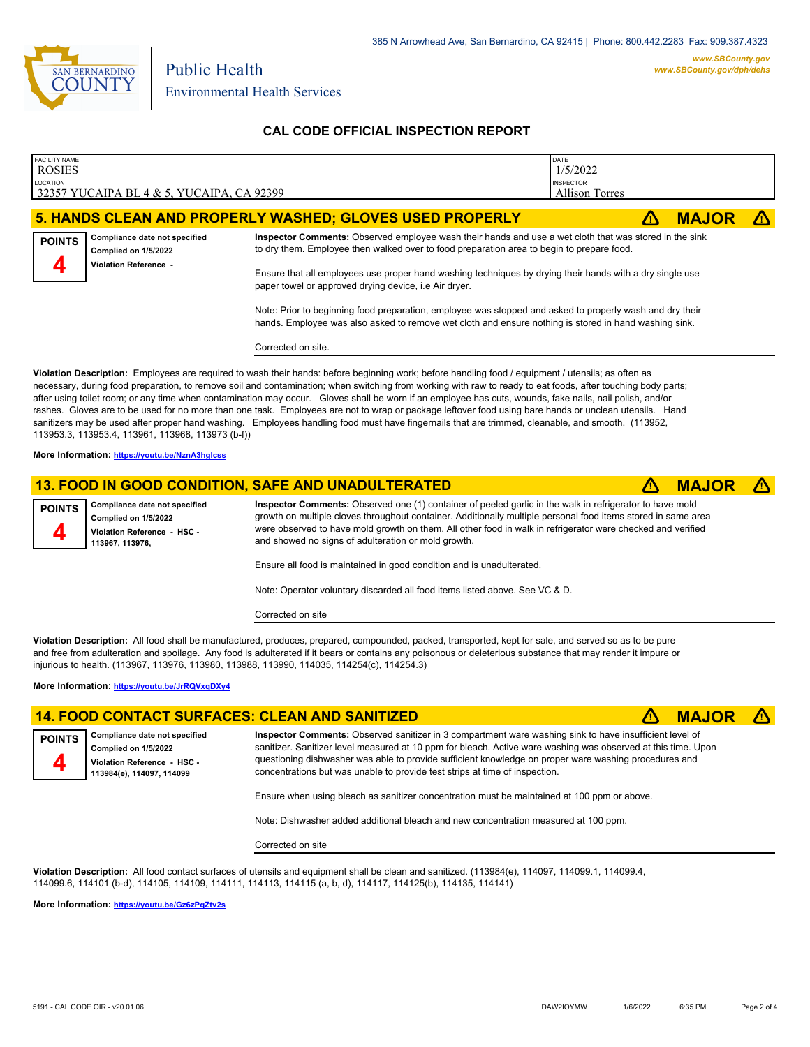

# **CAL CODE OFFICIAL INSPECTION REPORT**

| <b>FACILITY NAME</b><br><b>ROSIES</b>                                                                                                                                                                                                                                                                                                                                                                                                                                                                                                                                                                                                                                                                                                                                                                                                              |                                                                                       |                                                                                                                                                                                                                   | DATE<br>1/5/2022                          |              |  |  |
|----------------------------------------------------------------------------------------------------------------------------------------------------------------------------------------------------------------------------------------------------------------------------------------------------------------------------------------------------------------------------------------------------------------------------------------------------------------------------------------------------------------------------------------------------------------------------------------------------------------------------------------------------------------------------------------------------------------------------------------------------------------------------------------------------------------------------------------------------|---------------------------------------------------------------------------------------|-------------------------------------------------------------------------------------------------------------------------------------------------------------------------------------------------------------------|-------------------------------------------|--------------|--|--|
| LOCATION<br>32357 YUCAIPA BL 4 & 5, YUCAIPA, CA 92399                                                                                                                                                                                                                                                                                                                                                                                                                                                                                                                                                                                                                                                                                                                                                                                              |                                                                                       |                                                                                                                                                                                                                   | <b>INSPECTOR</b><br><b>Allison Torres</b> |              |  |  |
|                                                                                                                                                                                                                                                                                                                                                                                                                                                                                                                                                                                                                                                                                                                                                                                                                                                    |                                                                                       | 5. HANDS CLEAN AND PROPERLY WASHED; GLOVES USED PROPERLY                                                                                                                                                          | 71                                        | <b>MAJOR</b> |  |  |
| <b>POINTS</b>                                                                                                                                                                                                                                                                                                                                                                                                                                                                                                                                                                                                                                                                                                                                                                                                                                      | Compliance date not specified<br>Complied on 1/5/2022<br><b>Violation Reference -</b> | Inspector Comments: Observed employee wash their hands and use a wet cloth that was stored in the sink<br>to dry them. Employee then walked over to food preparation area to begin to prepare food.               |                                           |              |  |  |
|                                                                                                                                                                                                                                                                                                                                                                                                                                                                                                                                                                                                                                                                                                                                                                                                                                                    |                                                                                       | Ensure that all employees use proper hand washing techniques by drying their hands with a dry single use<br>paper towel or approved drying device, i.e Air dryer.                                                 |                                           |              |  |  |
|                                                                                                                                                                                                                                                                                                                                                                                                                                                                                                                                                                                                                                                                                                                                                                                                                                                    |                                                                                       | Note: Prior to beginning food preparation, employee was stopped and asked to properly wash and dry their<br>hands. Employee was also asked to remove wet cloth and ensure nothing is stored in hand washing sink. |                                           |              |  |  |
|                                                                                                                                                                                                                                                                                                                                                                                                                                                                                                                                                                                                                                                                                                                                                                                                                                                    |                                                                                       | Corrected on site.                                                                                                                                                                                                |                                           |              |  |  |
| Violation Description: Employees are required to wash their hands: before beginning work; before handling food / equipment / utensils; as often as<br>necessary, during food preparation, to remove soil and contamination; when switching from working with raw to ready to eat foods, after touching body parts;<br>after using toilet room; or any time when contamination may occur. Gloves shall be worn if an employee has cuts, wounds, fake nails, nail polish, and/or<br>rashes. Gloves are to be used for no more than one task. Employees are not to wrap or package leftover food using bare hands or unclean utensils. Hand<br>sanitizers may be used after proper hand washing. Employees handling food must have fingernails that are trimmed, cleanable, and smooth. (113952,<br>113953.3, 113953.4, 113961, 113968, 113973 (b-f)) |                                                                                       |                                                                                                                                                                                                                   |                                           |              |  |  |
|                                                                                                                                                                                                                                                                                                                                                                                                                                                                                                                                                                                                                                                                                                                                                                                                                                                    | More Information: https://youtu.be/NznA3hglcss                                        |                                                                                                                                                                                                                   |                                           |              |  |  |
|                                                                                                                                                                                                                                                                                                                                                                                                                                                                                                                                                                                                                                                                                                                                                                                                                                                    |                                                                                       | 13. FOOD IN GOOD CONDITION, SAFE AND UNADULTERATED                                                                                                                                                                | Z۱                                        | <b>MAJOR</b> |  |  |
| <b>POINTS</b>                                                                                                                                                                                                                                                                                                                                                                                                                                                                                                                                                                                                                                                                                                                                                                                                                                      | Compliance date not specified                                                         | Inspector Comments: Observed one (1) container of peeled garlic in the walk in refrigerator to have mold                                                                                                          |                                           |              |  |  |

**Complied on 1/5/2022 Violation Reference - HSC - 113967, 113976,**

**Inspector Comments:** Observed one (1) container of peeled garlic in the walk in refrigerator to have mold growth on multiple cloves throughout container. Additionally multiple personal food items stored in same area were observed to have mold growth on them. All other food in walk in refrigerator were checked and verified and showed no signs of adulteration or mold growth.

Ensure all food is maintained in good condition and is unadulterated.

Note: Operator voluntary discarded all food items listed above. See VC & D.

Corrected on site

**Violation Description:** All food shall be manufactured, produces, prepared, compounded, packed, transported, kept for sale, and served so as to be pure and free from adulteration and spoilage. Any food is adulterated if it bears or contains any poisonous or deleterious substance that may render it impure or injurious to health. (113967, 113976, 113980, 113988, 113990, 114035, 114254(c), 114254.3)

**More Information: <https://youtu.be/JrRQVxqDXy4>**

## **14. FOOD CONTACT SURFACES: CLEAN AND SANITIZED** ê**! MAJOR** ê**!**



**4**

**Inspector Comments:** Observed sanitizer in 3 compartment ware washing sink to have insufficient level of sanitizer. Sanitizer level measured at 10 ppm for bleach. Active ware washing was observed at this time. Upon questioning dishwasher was able to provide sufficient knowledge on proper ware washing procedures and concentrations but was unable to provide test strips at time of inspection.

Ensure when using bleach as sanitizer concentration must be maintained at 100 ppm or above.

Note: Dishwasher added additional bleach and new concentration measured at 100 ppm.

Corrected on site

**Violation Description:** All food contact surfaces of utensils and equipment shall be clean and sanitized. (113984(e), 114097, 114099.1, 114099.4, 114099.6, 114101 (b-d), 114105, 114109, 114111, 114113, 114115 (a, b, d), 114117, 114125(b), 114135, 114141)

**More Information: <https://youtu.be/Gz6zPqZtv2s>**

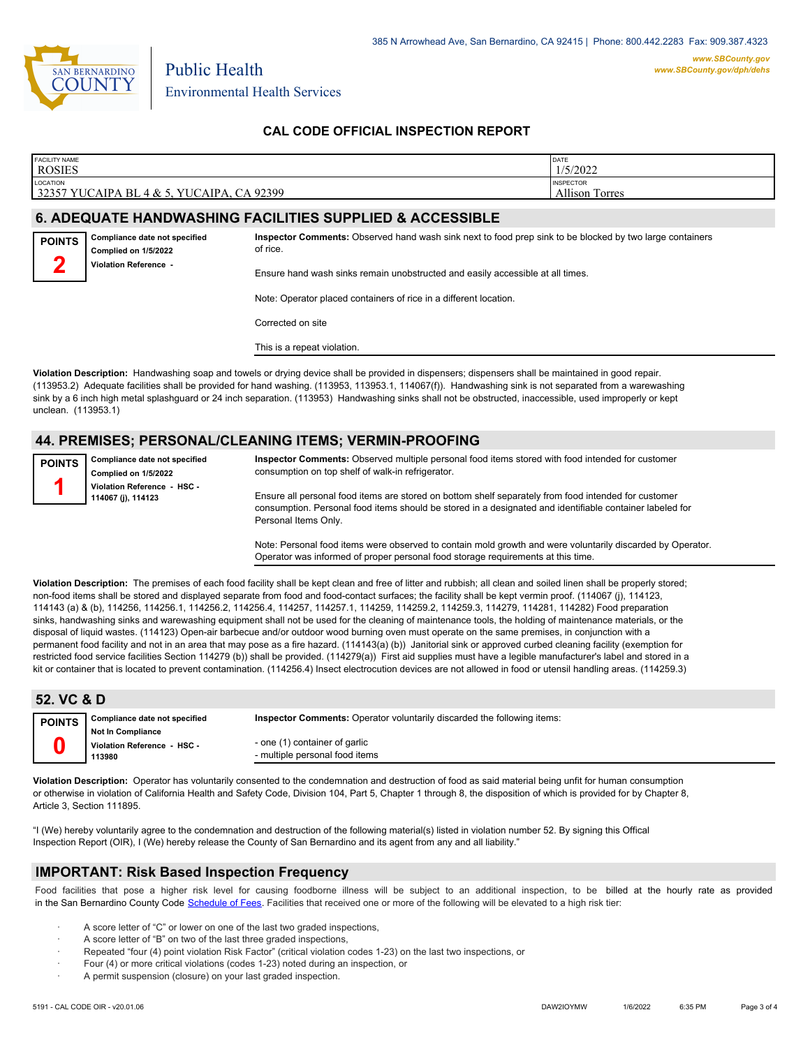

Environmental Health Services

Public Health

# **CAL CODE OFFICIAL INSPECTION REPORT**

| <b>FACILITY NAME</b><br><b>ROSIES</b>                                                                                                                                                                                                                                                                                                                                                                                                                                     |                                                                                                                      |                                                                                | DATE<br>1/5/2022                          |  |  |  |  |
|---------------------------------------------------------------------------------------------------------------------------------------------------------------------------------------------------------------------------------------------------------------------------------------------------------------------------------------------------------------------------------------------------------------------------------------------------------------------------|----------------------------------------------------------------------------------------------------------------------|--------------------------------------------------------------------------------|-------------------------------------------|--|--|--|--|
| <b>LOCATION</b><br>32357 YUCAIPA BL 4 & 5, YUCAIPA, CA 92399                                                                                                                                                                                                                                                                                                                                                                                                              |                                                                                                                      |                                                                                | <b>INSPECTOR</b><br><b>Allison Torres</b> |  |  |  |  |
| <b>6. ADEQUATE HANDWASHING FACILITIES SUPPLIED &amp; ACCESSIBLE</b>                                                                                                                                                                                                                                                                                                                                                                                                       |                                                                                                                      |                                                                                |                                           |  |  |  |  |
| Compliance date not specified<br><b>POINTS</b><br>Complied on 1/5/2022                                                                                                                                                                                                                                                                                                                                                                                                    | Inspector Comments: Observed hand wash sink next to food prep sink to be blocked by two large containers<br>of rice. |                                                                                |                                           |  |  |  |  |
|                                                                                                                                                                                                                                                                                                                                                                                                                                                                           | Violation Reference -                                                                                                | Ensure hand wash sinks remain unobstructed and easily accessible at all times. |                                           |  |  |  |  |
|                                                                                                                                                                                                                                                                                                                                                                                                                                                                           |                                                                                                                      | Note: Operator placed containers of rice in a different location.              |                                           |  |  |  |  |
|                                                                                                                                                                                                                                                                                                                                                                                                                                                                           |                                                                                                                      | Corrected on site                                                              |                                           |  |  |  |  |
|                                                                                                                                                                                                                                                                                                                                                                                                                                                                           |                                                                                                                      | This is a repeat violation.                                                    |                                           |  |  |  |  |
| Violation Description: Handwashing soap and towels or drying device shall be provided in dispensers; dispensers shall be maintained in good repair.<br>(113953.2) Adequate facilities shall be provided for hand washing. (113953, 113953.1, 114067(f)). Handwashing sink is not separated from a warewashing<br>sink by a 6 inch high metal splashguard or 24 inch separation. (113953) Handwashing sinks shall not be obstructed, inaccessible, used improperly or kept |                                                                                                                      |                                                                                |                                           |  |  |  |  |

# **44. PREMISES; PERSONAL/CLEANING ITEMS; VERMIN-PROOFING**

| <b>POINTS</b> | Compliance date not specified                     |
|---------------|---------------------------------------------------|
|               | Complied on 1/5/2022                              |
|               | Violation Reference - HSC -<br>114067 (j), 114123 |
|               |                                                   |

unclean. (113953.1)

**Inspector Comments:** Observed multiple personal food items stored with food intended for customer consumption on top shelf of walk-in refrigerator.

Ensure all personal food items are stored on bottom shelf separately from food intended for customer consumption. Personal food items should be stored in a designated and identifiable container labeled for Personal Items Only.

Note: Personal food items were observed to contain mold growth and were voluntarily discarded by Operator. Operator was informed of proper personal food storage requirements at this time.

**Violation Description:** The premises of each food facility shall be kept clean and free of litter and rubbish; all clean and soiled linen shall be properly stored; non-food items shall be stored and displayed separate from food and food-contact surfaces; the facility shall be kept vermin proof. (114067 (j), 114123, 114143 (a) & (b), 114256, 114256.1, 114256.2, 114256.4, 114257, 114257.1, 114259, 114259.2, 114259.3, 114279, 114281, 114282) Food preparation sinks, handwashing sinks and warewashing equipment shall not be used for the cleaning of maintenance tools, the holding of maintenance materials, or the disposal of liquid wastes. (114123) Open-air barbecue and/or outdoor wood burning oven must operate on the same premises, in conjunction with a permanent food facility and not in an area that may pose as a fire hazard. (114143(a) (b)) Janitorial sink or approved curbed cleaning facility (exemption for restricted food service facilities Section 114279 (b)) shall be provided. (114279(a)) First aid supplies must have a legible manufacturer's label and stored in a kit or container that is located to prevent contamination. (114256.4) Insect electrocution devices are not allowed in food or utensil handling areas. (114259.3)

| 52. VC & D    |                                                                   |                                                                                |
|---------------|-------------------------------------------------------------------|--------------------------------------------------------------------------------|
| <b>POINTS</b> | Compliance date not specified                                     | <b>Inspector Comments:</b> Operator voluntarily discarded the following items: |
|               | <b>Not In Compliance</b><br>Violation Reference - HSC -<br>113980 | - one (1) container of garlic<br>- multiple personal food items                |

**Violation Description:** Operator has voluntarily consented to the condemnation and destruction of food as said material being unfit for human consumption or otherwise in violation of California Health and Safety Code, Division 104, Part 5, Chapter 1 through 8, the disposition of which is provided for by Chapter 8, Article 3, Section 111895.

"I (We) hereby voluntarily agree to the condemnation and destruction of the following material(s) listed in violation number 52. By signing this Offical Inspection Report (OIR), I (We) hereby release the County of San Bernardino and its agent from any and all liability."

#### **IMPORTANT: Risk Based Inspection Frequency**

Food facilities that pose a higher risk level for causing foodborne illness will be subject to an additional inspection, to be billed at the hourly rate as provided in the San Bernardino Count[y Code Schedule of Fees. Facilitie](https://codelibrary.amlegal.com/codes/sanbernardino/latest/sanberncty_ca/0-0-0-122474#JD_16.0213B)s that received one or more of the following will be elevated to a high risk tier:

- A score letter of "C" or lower on one of the last two graded inspections,
- A score letter of "B" on two of the last three graded inspections,
- Repeated "four (4) point violation Risk Factor" (critical violation codes 1-23) on the last two inspections, or
- · Four (4) or more critical violations (codes 1-23) noted during an inspection, or
- A permit suspension (closure) on your last graded inspection.